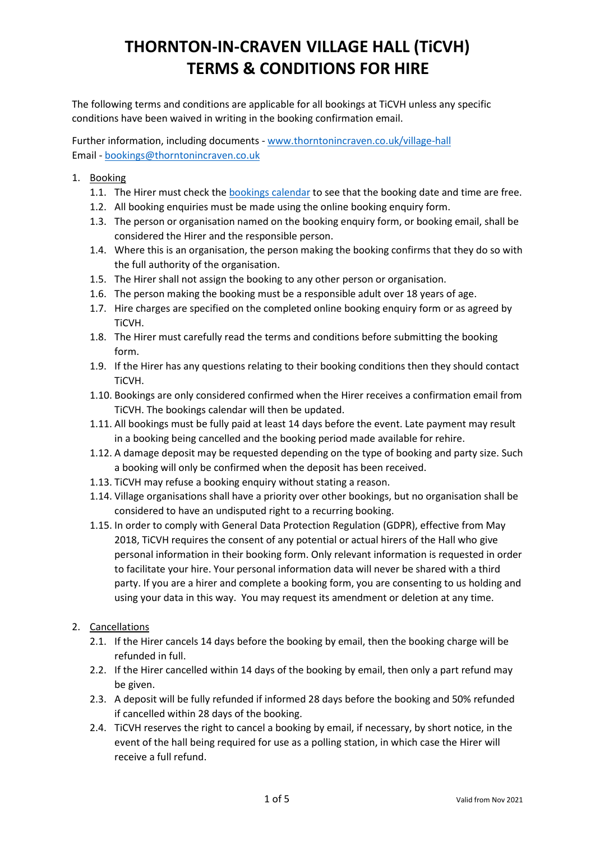The following terms and conditions are applicable for all bookings at TiCVH unless any specific conditions have been waived in writing in the booking confirmation email.

Further information, including documents - [www.thorntonincraven.co.uk/village-hall](http://www.thorntonincraven.co.uk/village-hall) Email - [bookings@thorntonincraven.co.uk](mailto:bookings@thorntonincraven.co.uk)

- 1. Booking
	- 1.1. The Hirer must check the [bookings calendar](https://www.thorntonincraven.co.uk/village-hall/bookings/) to see that the booking date and time are free.
	- 1.2. All booking enquiries must be made using the online booking enquiry form.
	- 1.3. The person or organisation named on the booking enquiry form, or booking email, shall be considered the Hirer and the responsible person.
	- 1.4. Where this is an organisation, the person making the booking confirms that they do so with the full authority of the organisation.
	- 1.5. The Hirer shall not assign the booking to any other person or organisation.
	- 1.6. The person making the booking must be a responsible adult over 18 years of age.
	- 1.7. Hire charges are specified on the completed online booking enquiry form or as agreed by TiCVH.
	- 1.8. The Hirer must carefully read the terms and conditions before submitting the booking form.
	- 1.9. If the Hirer has any questions relating to their booking conditions then they should contact TiCVH.
	- 1.10. Bookings are only considered confirmed when the Hirer receives a confirmation email from TiCVH. The bookings calendar will then be updated.
	- 1.11. All bookings must be fully paid at least 14 days before the event. Late payment may result in a booking being cancelled and the booking period made available for rehire.
	- 1.12. A damage deposit may be requested depending on the type of booking and party size. Such a booking will only be confirmed when the deposit has been received.
	- 1.13. TiCVH may refuse a booking enquiry without stating a reason.
	- 1.14. Village organisations shall have a priority over other bookings, but no organisation shall be considered to have an undisputed right to a recurring booking.
	- 1.15. In order to comply with General Data Protection Regulation (GDPR), effective from May 2018, TiCVH requires the consent of any potential or actual hirers of the Hall who give personal information in their booking form. Only relevant information is requested in order to facilitate your hire. Your personal information data will never be shared with a third party. If you are a hirer and complete a booking form, you are consenting to us holding and using your data in this way. You may request its amendment or deletion at any time.
- 2. Cancellations
	- 2.1. If the Hirer cancels 14 days before the booking by email, then the booking charge will be refunded in full.
	- 2.2. If the Hirer cancelled within 14 days of the booking by email, then only a part refund may be given.
	- 2.3. A deposit will be fully refunded if informed 28 days before the booking and 50% refunded if cancelled within 28 days of the booking.
	- 2.4. TiCVH reserves the right to cancel a booking by email, if necessary, by short notice, in the event of the hall being required for use as a polling station, in which case the Hirer will receive a full refund.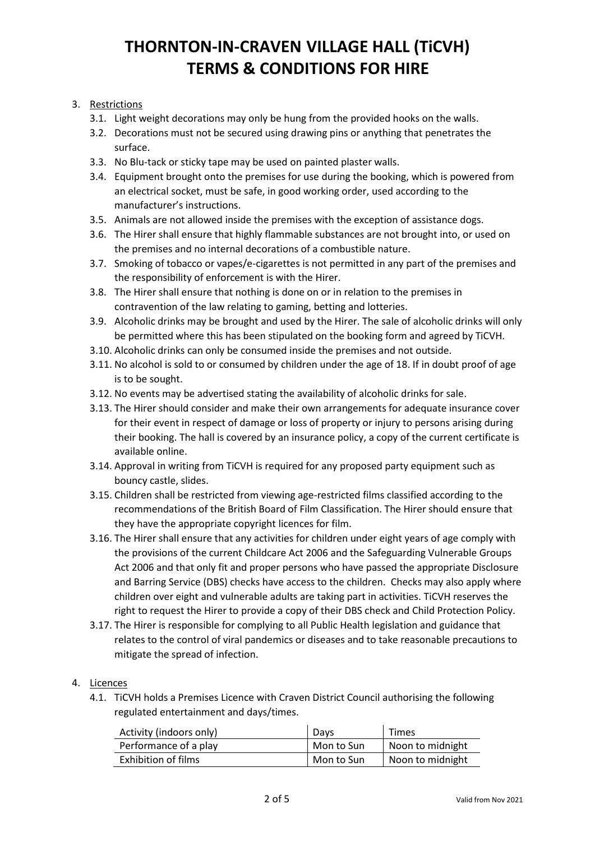### 3. Restrictions

- 3.1. Light weight decorations may only be hung from the provided hooks on the walls.
- 3.2. Decorations must not be secured using drawing pins or anything that penetrates the surface.
- 3.3. No Blu-tack or sticky tape may be used on painted plaster walls.
- 3.4. Equipment brought onto the premises for use during the booking, which is powered from an electrical socket, must be safe, in good working order, used according to the manufacturer's instructions.
- 3.5. Animals are not allowed inside the premises with the exception of assistance dogs.
- 3.6. The Hirer shall ensure that highly flammable substances are not brought into, or used on the premises and no internal decorations of a combustible nature.
- 3.7. Smoking of tobacco or vapes/e-cigarettes is not permitted in any part of the premises and the responsibility of enforcement is with the Hirer.
- 3.8. The Hirer shall ensure that nothing is done on or in relation to the premises in contravention of the law relating to gaming, betting and lotteries.
- 3.9. Alcoholic drinks may be brought and used by the Hirer. The sale of alcoholic drinks will only be permitted where this has been stipulated on the booking form and agreed by TiCVH.
- 3.10. Alcoholic drinks can only be consumed inside the premises and not outside.
- 3.11. No alcohol is sold to or consumed by children under the age of 18. If in doubt proof of age is to be sought.
- 3.12. No events may be advertised stating the availability of alcoholic drinks for sale.
- 3.13. The Hirer should consider and make their own arrangements for adequate insurance cover for their event in respect of damage or loss of property or injury to persons arising during their booking. The hall is covered by an insurance policy, a copy of the current certificate is available online.
- 3.14. Approval in writing from TiCVH is required for any proposed party equipment such as bouncy castle, slides.
- 3.15. Children shall be restricted from viewing age-restricted films classified according to the recommendations of the British Board of Film Classification. The Hirer should ensure that they have the appropriate copyright licences for film.
- 3.16. The Hirer shall ensure that any activities for children under eight years of age comply with the provisions of the current Childcare Act 2006 and the Safeguarding Vulnerable Groups Act 2006 and that only fit and proper persons who have passed the appropriate Disclosure and Barring Service (DBS) checks have access to the children. Checks may also apply where children over eight and vulnerable adults are taking part in activities. TiCVH reserves the right to request the Hirer to provide a copy of their DBS check and Child Protection Policy.
- 3.17. The Hirer is responsible for complying to all Public Health legislation and guidance that relates to the control of viral pandemics or diseases and to take reasonable precautions to mitigate the spread of infection.

#### 4. Licences

4.1. TiCVH holds a Premises Licence with Craven District Council authorising the following regulated entertainment and days/times.

| Activity (indoors only) | Days       | <b>Times</b>     |
|-------------------------|------------|------------------|
| Performance of a play   | Mon to Sun | Noon to midnight |
| Exhibition of films     | Mon to Sun | Noon to midnight |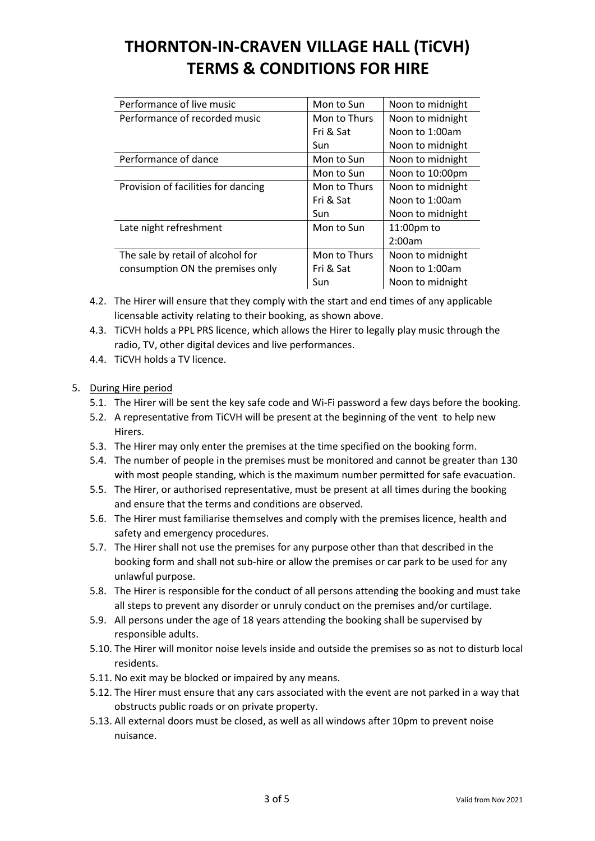| Mon to Sun   | Noon to midnight |
|--------------|------------------|
| Mon to Thurs | Noon to midnight |
| Fri & Sat    | Noon to 1:00am   |
| Sun          | Noon to midnight |
| Mon to Sun   | Noon to midnight |
| Mon to Sun   | Noon to 10:00pm  |
| Mon to Thurs | Noon to midnight |
| Fri & Sat    | Noon to 1:00am   |
| Sun          | Noon to midnight |
| Mon to Sun   | $11:00$ pm to    |
|              | 2:00am           |
| Mon to Thurs | Noon to midnight |
| Fri & Sat    | Noon to 1:00am   |
| Sun          | Noon to midnight |
|              |                  |

- 4.2. The Hirer will ensure that they comply with the start and end times of any applicable licensable activity relating to their booking, as shown above.
- 4.3. TiCVH holds a PPL PRS licence, which allows the Hirer to legally play music through the radio, TV, other digital devices and live performances.
- 4.4. TiCVH holds a TV licence.

### 5. During Hire period

- 5.1. The Hirer will be sent the key safe code and Wi-Fi password a few days before the booking.
- 5.2. A representative from TiCVH will be present at the beginning of the vent to help new Hirers.
- 5.3. The Hirer may only enter the premises at the time specified on the booking form.
- 5.4. The number of people in the premises must be monitored and cannot be greater than 130 with most people standing, which is the maximum number permitted for safe evacuation.
- 5.5. The Hirer, or authorised representative, must be present at all times during the booking and ensure that the terms and conditions are observed.
- 5.6. The Hirer must familiarise themselves and comply with the premises licence, health and safety and emergency procedures.
- 5.7. The Hirer shall not use the premises for any purpose other than that described in the booking form and shall not sub-hire or allow the premises or car park to be used for any unlawful purpose.
- 5.8. The Hirer is responsible for the conduct of all persons attending the booking and must take all steps to prevent any disorder or unruly conduct on the premises and/or curtilage.
- 5.9. All persons under the age of 18 years attending the booking shall be supervised by responsible adults.
- 5.10. The Hirer will monitor noise levels inside and outside the premises so as not to disturb local residents.
- 5.11. No exit may be blocked or impaired by any means.
- 5.12. The Hirer must ensure that any cars associated with the event are not parked in a way that obstructs public roads or on private property.
- 5.13. All external doors must be closed, as well as all windows after 10pm to prevent noise nuisance.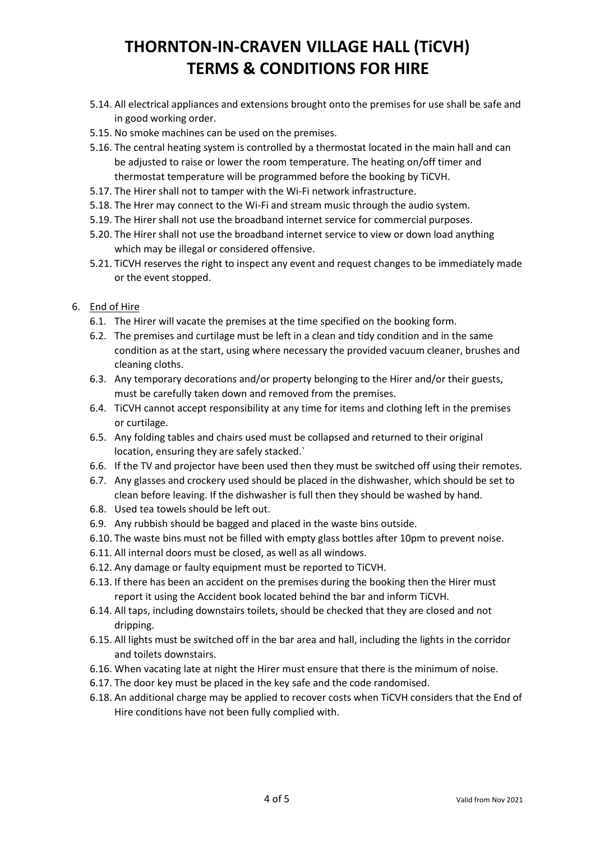- 5.14. All electrical appliances and extensions brought onto the premises for use shall be safe and in good working order.
- 5.15. No smoke machines can be used on the premises.
- 5.16. The central heating system is controlled by a thermostat located in the main hall and can be adjusted to raise or lower the room temperature. The heating on/off timer and thermostat temperature will be programmed before the booking by TiCVH.
- 5.17. The Hirer shall not to tamper with the Wi-Fi network infrastructure.
- 5.18. The Hrer may connect to the Wi-Fi and stream music through the audio system.
- 5.19. The Hirer shall not use the broadband internet service for commercial purposes.
- 5.20. The Hirer shall not use the broadband internet service to view or down load anything which may be illegal or considered offensive.
- 5.21. TiCVH reserves the right to inspect any event and request changes to be immediately made or the event stopped.

#### 6. End of Hire

- 6.1. The Hirer will vacate the premises at the time specified on the booking form.
- 6.2. The premises and curtilage must be left in a clean and tidy condition and in the same condition as at the start, using where necessary the provided vacuum cleaner, brushes and cleaning cloths.
- 6.3. Any temporary decorations and/or property belonging to the Hirer and/or their guests, must be carefully taken down and removed from the premises.
- 6.4. TiCVH cannot accept responsibility at any time for items and clothing left in the premises or curtilage.
- 6.5. Any folding tables and chairs used must be collapsed and returned to their original location, ensuring they are safely stacked.`
- 6.6. If the TV and projector have been used then they must be switched off using their remotes.
- 6.7. Any glasses and crockery used should be placed in the dishwasher, which should be set to clean before leaving. If the dishwasher is full then they should be washed by hand.
- 6.8. Used tea towels should be left out.
- 6.9. Any rubbish should be bagged and placed in the waste bins outside.
- 6.10. The waste bins must not be filled with empty glass bottles after 10pm to prevent noise.
- 6.11. All internal doors must be closed, as well as all windows.
- 6.12. Any damage or faulty equipment must be reported to TiCVH.
- 6.13. If there has been an accident on the premises during the booking then the Hirer must report it using the Accident book located behind the bar and inform TiCVH.
- 6.14. All taps, including downstairs toilets, should be checked that they are closed and not dripping.
- 6.15. All lights must be switched off in the bar area and hall, including the lights in the corridor and toilets downstairs.
- 6.16. When vacating late at night the Hirer must ensure that there is the minimum of noise.
- 6.17. The door key must be placed in the key safe and the code randomised.
- 6.18. An additional charge may be applied to recover costs when TiCVH considers that the End of Hire conditions have not been fully complied with.